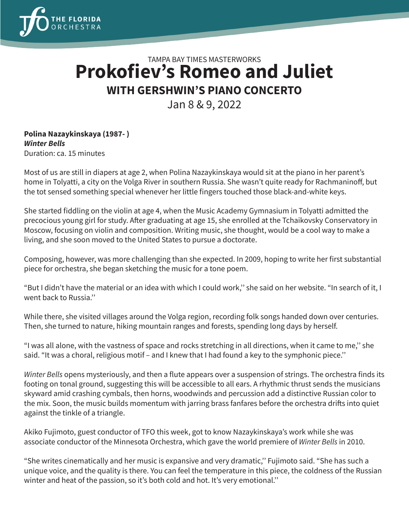

## TAMPA BAY TIMES MASTERWORKS **Prokofiev's Romeo and Juliet WITH GERSHWIN'S PIANO CONCERTO**

Jan 8 & 9, 2022

## **Polina Nazaykinskaya (1987- )** *Winter Bells* Duration: ca. 15 minutes

Most of us are still in diapers at age 2, when Polina Nazaykinskaya would sit at the piano in her parent's home in Tolyatti, a city on the Volga River in southern Russia. She wasn't quite ready for Rachmaninoff, but the tot sensed something special whenever her little fingers touched those black-and-white keys.

She started fiddling on the violin at age 4, when the Music Academy Gymnasium in Tolyatti admitted the precocious young girl for study. After graduating at age 15, she enrolled at the Tchaikovsky Conservatory in Moscow, focusing on violin and composition. Writing music, she thought, would be a cool way to make a living, and she soon moved to the United States to pursue a doctorate.

Composing, however, was more challenging than she expected. In 2009, hoping to write her first substantial piece for orchestra, she began sketching the music for a tone poem.

"But I didn't have the material or an idea with which I could work,'' she said on her website. "In search of it, I went back to Russia.''

While there, she visited villages around the Volga region, recording folk songs handed down over centuries. Then, she turned to nature, hiking mountain ranges and forests, spending long days by herself.

"I was all alone, with the vastness of space and rocks stretching in all directions, when it came to me,'' she said. "It was a choral, religious motif – and I knew that I had found a key to the symphonic piece.''

*Winter Bells* opens mysteriously, and then a flute appears over a suspension of strings. The orchestra finds its footing on tonal ground, suggesting this will be accessible to all ears. A rhythmic thrust sends the musicians skyward amid crashing cymbals, then horns, woodwinds and percussion add a distinctive Russian color to the mix. Soon, the music builds momentum with jarring brass fanfares before the orchestra drifts into quiet against the tinkle of a triangle.

Akiko Fujimoto, guest conductor of TFO this week, got to know Nazaykinskaya's work while she was associate conductor of the Minnesota Orchestra, which gave the world premiere of *Winter Bells* in 2010.

"She writes cinematically and her music is expansive and very dramatic,'' Fujimoto said. "She has such a unique voice, and the quality is there. You can feel the temperature in this piece, the coldness of the Russian winter and heat of the passion, so it's both cold and hot. It's very emotional.''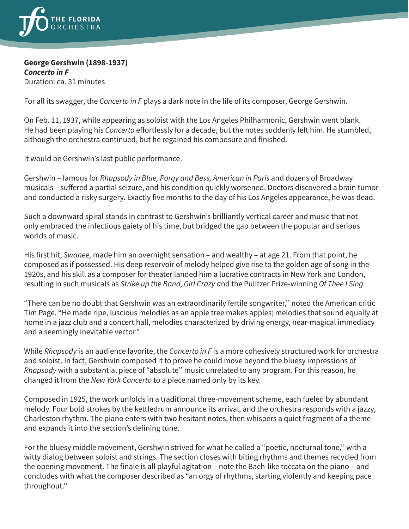

## **George Gershwin (1898-1937)** *Concerto in F* Duration: ca. 31 minutes

For all its swagger, the *Concerto in F* plays a dark note in the life of its composer, George Gershwin.

On Feb. 11, 1937, while appearing as soloist with the Los Angeles Philharmonic, Gershwin went blank. He had been playing his *Concerto* effortlessly for a decade, but the notes suddenly left him. He stumbled, although the orchestra continued, but he regained his composure and finished.

It would be Gershwin's last public performance.

Gershwin – famous for *Rhapsody in Blue, Porgy and Bess, American in Paris* and dozens of Broadway musicals – suffered a partial seizure, and his condition quickly worsened. Doctors discovered a brain tumor and conducted a risky surgery. Exactly five months to the day of his Los Angeles appearance, he was dead.

Such a downward spiral stands in contrast to Gershwin's brilliantly vertical career and music that not only embraced the infectious gaiety of his time, but bridged the gap between the popular and serious worlds of music.

His first hit, *Swanee,* made him an overnight sensation – and wealthy – at age 21. From that point, he composed as if possessed. His deep reservoir of melody helped give rise to the golden age of song in the 1920s, and his skill as a composer for theater landed him a lucrative contracts in New York and London, resulting in such musicals as *Strike up the Band, Girl Crazy a*nd the Pulitzer Prize-winning *Of Thee I Sing.*

"There can be no doubt that Gershwin was an extraordinarily fertile songwriter,'' noted the American critic Tim Page. "He made ripe, luscious melodies as an apple tree makes apples; melodies that sound equally at home in a jazz club and a concert hall, melodies characterized by driving energy, near-magical immediacy and a seemingly inevitable vector."

While *Rhapsody* is an audience favorite, the *Concerto in F* is a more cohesively structured work for orchestra and soloist. In fact, Gershwin composed it to prove he could move beyond the bluesy impressions of *Rhapsody* with a substantial piece of "absolute'' music unrelated to any program. For this reason, he changed it from the *New York Concerto* to a piece named only by its key.

Composed in 1925, the work unfolds in a traditional three-movement scheme, each fueled by abundant melody. Four bold strokes by the kettledrum announce its arrival, and the orchestra responds with a jazzy, Charleston rhythm. The piano enters with two hesitant notes, then whispers a quiet fragment of a theme and expands it into the section's defining tune.

For the bluesy middle movement, Gershwin strived for what he called a "poetic, nocturnal tone,'' with a witty dialog between soloist and strings. The section closes with biting rhythms and themes recycled from the opening movement. The finale is all playful agitation – note the Bach-like toccata on the piano – and concludes with what the composer described as "an orgy of rhythms, starting violently and keeping pace throughout.''